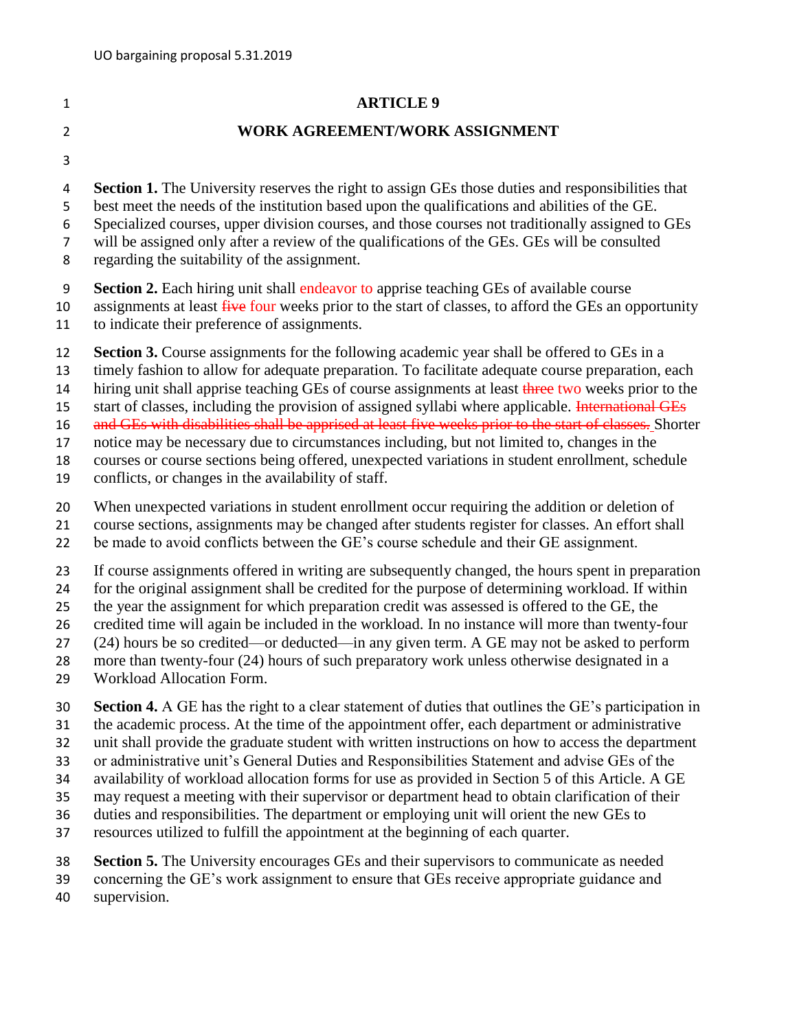## **ARTICLE 9 WORK AGREEMENT/WORK ASSIGNMENT Section 1.** The University reserves the right to assign GEs those duties and responsibilities that best meet the needs of the institution based upon the qualifications and abilities of the GE. Specialized courses, upper division courses, and those courses not traditionally assigned to GEs will be assigned only after a review of the qualifications of the GEs. GEs will be consulted regarding the suitability of the assignment. **Section 2.** Each hiring unit shall endeavor to apprise teaching GEs of available course 10 assignments at least five four weeks prior to the start of classes, to afford the GEs an opportunity to indicate their preference of assignments. **Section 3.** Course assignments for the following academic year shall be offered to GEs in a timely fashion to allow for adequate preparation. To facilitate adequate course preparation, each 14 hiring unit shall apprise teaching GEs of course assignments at least three two weeks prior to the 15 start of classes, including the provision of assigned syllabi where applicable. International GEs 16 and GEs with disabilities shall be apprised at least five weeks prior to the start of classes. Shorter notice may be necessary due to circumstances including, but not limited to, changes in the courses or course sections being offered, unexpected variations in student enrollment, schedule

- conflicts, or changes in the availability of staff.
- When unexpected variations in student enrollment occur requiring the addition or deletion of
- course sections, assignments may be changed after students register for classes. An effort shall
- be made to avoid conflicts between the GE's course schedule and their GE assignment.
- If course assignments offered in writing are subsequently changed, the hours spent in preparation
- for the original assignment shall be credited for the purpose of determining workload. If within
- the year the assignment for which preparation credit was assessed is offered to the GE, the
- credited time will again be included in the workload. In no instance will more than twenty-four
- (24) hours be so credited—or deducted—in any given term. A GE may not be asked to perform more than twenty-four (24) hours of such preparatory work unless otherwise designated in a
- Workload Allocation Form.
- **Section 4.** A GE has the right to a clear statement of duties that outlines the GE's participation in
- the academic process. At the time of the appointment offer, each department or administrative
- unit shall provide the graduate student with written instructions on how to access the department
- or administrative unit's General Duties and Responsibilities Statement and advise GEs of the
- availability of workload allocation forms for use as provided in Section 5 of this Article. A GE
- may request a meeting with their supervisor or department head to obtain clarification of their
- duties and responsibilities. The department or employing unit will orient the new GEs to
- resources utilized to fulfill the appointment at the beginning of each quarter.
- **Section 5.** The University encourages GEs and their supervisors to communicate as needed
- concerning the GE's work assignment to ensure that GEs receive appropriate guidance and
- supervision.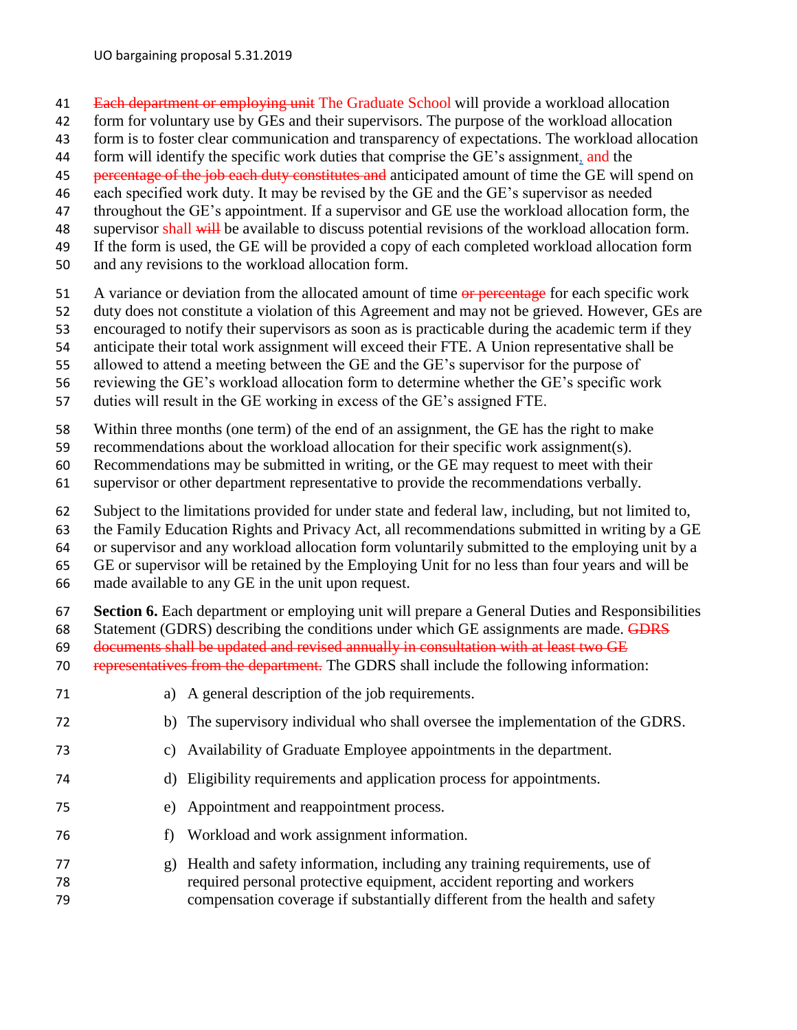- 41 Each department or employing unit The Graduate School will provide a workload allocation
- form for voluntary use by GEs and their supervisors. The purpose of the workload allocation
- form is to foster clear communication and transparency of expectations. The workload allocation
- 44 form will identify the specific work duties that comprise the GE's assignment, and the
- 45 percentage of the job each duty constitutes and anticipated amount of time the GE will spend on
- each specified work duty. It may be revised by the GE and the GE's supervisor as needed
- throughout the GE's appointment. If a supervisor and GE use the workload allocation form, the
- 48 supervisor shall will be available to discuss potential revisions of the workload allocation form.
- If the form is used, the GE will be provided a copy of each completed workload allocation form
- and any revisions to the workload allocation form.
- 51 A variance or deviation from the allocated amount of time or percentage for each specific work
- duty does not constitute a violation of this Agreement and may not be grieved. However, GEs are
- encouraged to notify their supervisors as soon as is practicable during the academic term if they
- anticipate their total work assignment will exceed their FTE. A Union representative shall be
- allowed to attend a meeting between the GE and the GE's supervisor for the purpose of
- reviewing the GE's workload allocation form to determine whether the GE's specific work
- duties will result in the GE working in excess of the GE's assigned FTE.
- Within three months (one term) of the end of an assignment, the GE has the right to make
- recommendations about the workload allocation for their specific work assignment(s).
- Recommendations may be submitted in writing, or the GE may request to meet with their
- supervisor or other department representative to provide the recommendations verbally.
- Subject to the limitations provided for under state and federal law, including, but not limited to,
- the Family Education Rights and Privacy Act, all recommendations submitted in writing by a GE
- or supervisor and any workload allocation form voluntarily submitted to the employing unit by a
- GE or supervisor will be retained by the Employing Unit for no less than four years and will be
- made available to any GE in the unit upon request.
- **Section 6.** Each department or employing unit will prepare a General Duties and Responsibilities
- 68 Statement (GDRS) describing the conditions under which GE assignments are made. GDRS
- documents shall be updated and revised annually in consultation with at least two GE
- representatives from the department. The GDRS shall include the following information:
- a) A general description of the job requirements.
- b) The supervisory individual who shall oversee the implementation of the GDRS.
- c) Availability of Graduate Employee appointments in the department.
- d) Eligibility requirements and application process for appointments.
- e) Appointment and reappointment process.
- f) Workload and work assignment information.
- g) Health and safety information, including any training requirements, use of required personal protective equipment, accident reporting and workers compensation coverage if substantially different from the health and safety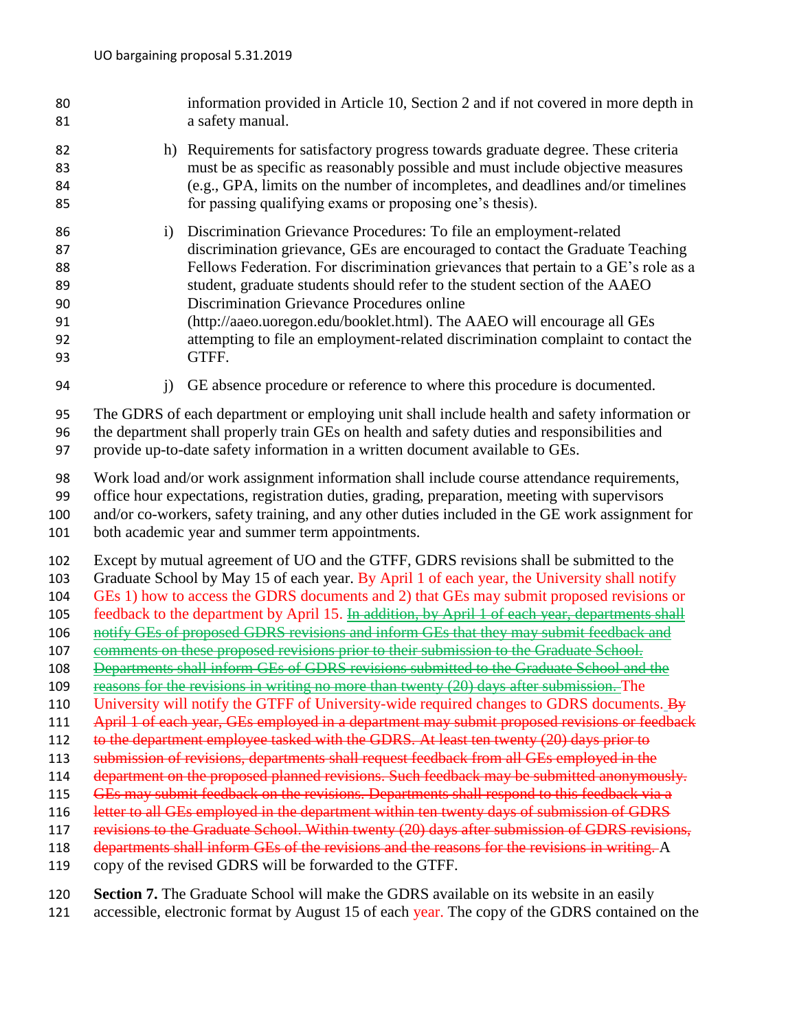| 80<br>81                                                                                                                   |                                                                                                                                                                                                                                                                                                                                                                                                                                                                                                                                                                                                                                                                                                                                                                                                                                                                                                                                                                                                                                                                                                                                                                                                                                                                                                                                                                                                                                                                                                                                                                                                                                                                                                                    | information provided in Article 10, Section 2 and if not covered in more depth in<br>a safety manual.                                                                                                                                                                                                                                                                                                                                                                                                                                         |
|----------------------------------------------------------------------------------------------------------------------------|--------------------------------------------------------------------------------------------------------------------------------------------------------------------------------------------------------------------------------------------------------------------------------------------------------------------------------------------------------------------------------------------------------------------------------------------------------------------------------------------------------------------------------------------------------------------------------------------------------------------------------------------------------------------------------------------------------------------------------------------------------------------------------------------------------------------------------------------------------------------------------------------------------------------------------------------------------------------------------------------------------------------------------------------------------------------------------------------------------------------------------------------------------------------------------------------------------------------------------------------------------------------------------------------------------------------------------------------------------------------------------------------------------------------------------------------------------------------------------------------------------------------------------------------------------------------------------------------------------------------------------------------------------------------------------------------------------------------|-----------------------------------------------------------------------------------------------------------------------------------------------------------------------------------------------------------------------------------------------------------------------------------------------------------------------------------------------------------------------------------------------------------------------------------------------------------------------------------------------------------------------------------------------|
| 82<br>83<br>84<br>85                                                                                                       |                                                                                                                                                                                                                                                                                                                                                                                                                                                                                                                                                                                                                                                                                                                                                                                                                                                                                                                                                                                                                                                                                                                                                                                                                                                                                                                                                                                                                                                                                                                                                                                                                                                                                                                    | h) Requirements for satisfactory progress towards graduate degree. These criteria<br>must be as specific as reasonably possible and must include objective measures<br>(e.g., GPA, limits on the number of incompletes, and deadlines and/or timelines<br>for passing qualifying exams or proposing one's thesis).                                                                                                                                                                                                                            |
| 86<br>87<br>88<br>89<br>90<br>91<br>92<br>93                                                                               | i)                                                                                                                                                                                                                                                                                                                                                                                                                                                                                                                                                                                                                                                                                                                                                                                                                                                                                                                                                                                                                                                                                                                                                                                                                                                                                                                                                                                                                                                                                                                                                                                                                                                                                                                 | Discrimination Grievance Procedures: To file an employment-related<br>discrimination grievance, GEs are encouraged to contact the Graduate Teaching<br>Fellows Federation. For discrimination grievances that pertain to a GE's role as a<br>student, graduate students should refer to the student section of the AAEO<br>Discrimination Grievance Procedures online<br>(http://aaeo.uoregon.edu/booklet.html). The AAEO will encourage all GEs<br>attempting to file an employment-related discrimination complaint to contact the<br>GTFF. |
| 94                                                                                                                         | $\mathbf{i}$                                                                                                                                                                                                                                                                                                                                                                                                                                                                                                                                                                                                                                                                                                                                                                                                                                                                                                                                                                                                                                                                                                                                                                                                                                                                                                                                                                                                                                                                                                                                                                                                                                                                                                       | GE absence procedure or reference to where this procedure is documented.                                                                                                                                                                                                                                                                                                                                                                                                                                                                      |
| 95<br>96<br>97                                                                                                             | The GDRS of each department or employing unit shall include health and safety information or<br>the department shall properly train GEs on health and safety duties and responsibilities and<br>provide up-to-date safety information in a written document available to GEs.                                                                                                                                                                                                                                                                                                                                                                                                                                                                                                                                                                                                                                                                                                                                                                                                                                                                                                                                                                                                                                                                                                                                                                                                                                                                                                                                                                                                                                      |                                                                                                                                                                                                                                                                                                                                                                                                                                                                                                                                               |
| 98<br>99<br>100<br>101                                                                                                     | Work load and/or work assignment information shall include course attendance requirements,<br>office hour expectations, registration duties, grading, preparation, meeting with supervisors<br>and/or co-workers, safety training, and any other duties included in the GE work assignment for<br>both academic year and summer term appointments.                                                                                                                                                                                                                                                                                                                                                                                                                                                                                                                                                                                                                                                                                                                                                                                                                                                                                                                                                                                                                                                                                                                                                                                                                                                                                                                                                                 |                                                                                                                                                                                                                                                                                                                                                                                                                                                                                                                                               |
| 102<br>103<br>104<br>105<br>106<br>107<br>108<br>109<br>110<br>111<br>112<br>113<br>114<br>115<br>116<br>117<br>118<br>119 | Except by mutual agreement of UO and the GTFF, GDRS revisions shall be submitted to the<br>Graduate School by May 15 of each year. By April 1 of each year, the University shall notify<br>GEs 1) how to access the GDRS documents and 2) that GEs may submit proposed revisions or<br>feedback to the department by April 15. <i>In addition</i> , by April 1 of each year, departments shall<br>notify GEs of proposed GDRS revisions and inform GEs that they may submit feedback and<br>comments on these proposed revisions prior to their submission to the Graduate School.<br>Departments shall inform GEs of GDRS revisions submitted to the Graduate School and the<br>reasons for the revisions in writing no more than twenty (20) days after submission. The<br>University will notify the GTFF of University-wide required changes to GDRS documents. By<br>April 1 of each year, GEs employed in a department may submit proposed revisions or feedback<br>to the department employee tasked with the GDRS. At least ten twenty (20) days prior to<br>submission of revisions, departments shall request feedback from all GEs employed in the<br>department on the proposed planned revisions. Such feedback may be submitted anonymously.<br>GEs may submit feedback on the revisions. Departments shall respond to this feedback via a<br>letter to all GEs employed in the department within ten twenty days of submission of GDRS<br>revisions to the Graduate School. Within twenty (20) days after submission of GDRS revisions,<br>departments shall inform GEs of the revisions and the reasons for the revisions in writing. A<br>copy of the revised GDRS will be forwarded to the GTFF. |                                                                                                                                                                                                                                                                                                                                                                                                                                                                                                                                               |
| 120<br>121                                                                                                                 | Section 7. The Graduate School will make the GDRS available on its website in an easily<br>accessible, electronic format by August 15 of each year. The copy of the GDRS contained on the                                                                                                                                                                                                                                                                                                                                                                                                                                                                                                                                                                                                                                                                                                                                                                                                                                                                                                                                                                                                                                                                                                                                                                                                                                                                                                                                                                                                                                                                                                                          |                                                                                                                                                                                                                                                                                                                                                                                                                                                                                                                                               |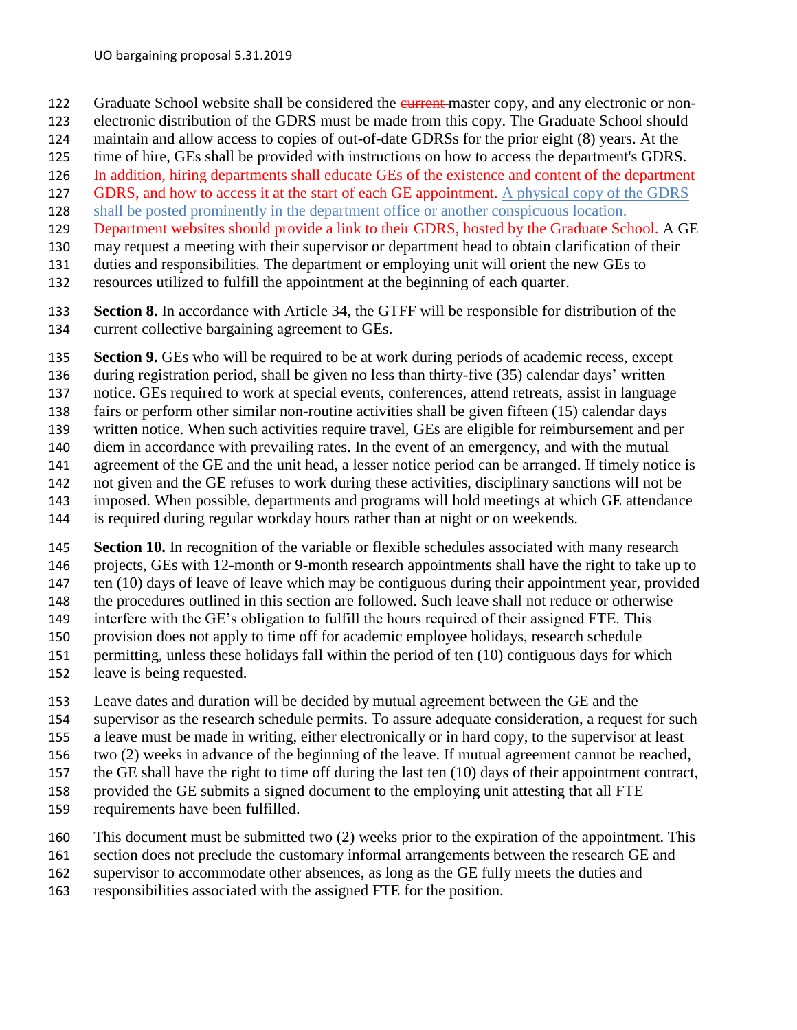- 122 Graduate School website shall be considered the eurrent-master copy, and any electronic or non-
- electronic distribution of the GDRS must be made from this copy. The Graduate School should
- maintain and allow access to copies of out-of-date GDRSs for the prior eight (8) years. At the
- time of hire, GEs shall be provided with instructions on how to access the department's GDRS.
- 126 In addition, hiring departments shall educate GEs of the existence and content of the department
- 127 GDRS, and how to access it at the start of each GE appointment. A physical copy of the GDRS
- shall be posted prominently in the department office or another conspicuous location.
- 129 Department websites should provide a link to their GDRS, hosted by the Graduate School. A GE
- may request a meeting with their supervisor or department head to obtain clarification of their
- duties and responsibilities. The department or employing unit will orient the new GEs to
- resources utilized to fulfill the appointment at the beginning of each quarter.
- **Section 8.** In accordance with Article 34, the GTFF will be responsible for distribution of the current collective bargaining agreement to GEs.
- **Section 9.** GEs who will be required to be at work during periods of academic recess, except
- during registration period, shall be given no less than thirty-five (35) calendar days' written
- notice. GEs required to work at special events, conferences, attend retreats, assist in language
- fairs or perform other similar non-routine activities shall be given fifteen (15) calendar days
- written notice. When such activities require travel, GEs are eligible for reimbursement and per
- diem in accordance with prevailing rates. In the event of an emergency, and with the mutual
- agreement of the GE and the unit head, a lesser notice period can be arranged. If timely notice is not given and the GE refuses to work during these activities, disciplinary sanctions will not be
- imposed. When possible, departments and programs will hold meetings at which GE attendance
- is required during regular workday hours rather than at night or on weekends.
- **Section 10.** In recognition of the variable or flexible schedules associated with many research projects, GEs with 12-month or 9-month research appointments shall have the right to take up to ten (10) days of leave of leave which may be contiguous during their appointment year, provided the procedures outlined in this section are followed. Such leave shall not reduce or otherwise interfere with the GE's obligation to fulfill the hours required of their assigned FTE. This provision does not apply to time off for academic employee holidays, research schedule permitting, unless these holidays fall within the period of ten (10) contiguous days for which
- leave is being requested.
- Leave dates and duration will be decided by mutual agreement between the GE and the
- supervisor as the research schedule permits. To assure adequate consideration, a request for such
- a leave must be made in writing, either electronically or in hard copy, to the supervisor at least
- two (2) weeks in advance of the beginning of the leave. If mutual agreement cannot be reached,
- the GE shall have the right to time off during the last ten (10) days of their appointment contract,
- provided the GE submits a signed document to the employing unit attesting that all FTE
- requirements have been fulfilled.
- This document must be submitted two (2) weeks prior to the expiration of the appointment. This
- section does not preclude the customary informal arrangements between the research GE and
- supervisor to accommodate other absences, as long as the GE fully meets the duties and
- responsibilities associated with the assigned FTE for the position.